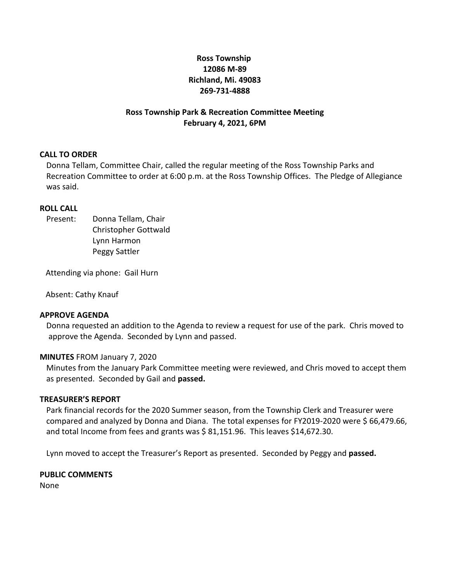# **Ross Township 12086 M-89 Richland, Mi. 49083 269-731-4888**

## **Ross Township Park & Recreation Committee Meeting February 4, 2021, 6PM**

#### **CALL TO ORDER**

Donna Tellam, Committee Chair, called the regular meeting of the Ross Township Parks and Recreation Committee to order at 6:00 p.m. at the Ross Township Offices. The Pledge of Allegiance was said.

#### **ROLL CALL**

Present: Donna Tellam, Chair Christopher Gottwald Lynn Harmon Peggy Sattler

Attending via phone: Gail Hurn

Absent: Cathy Knauf

#### **APPROVE AGENDA**

Donna requested an addition to the Agenda to review a request for use of the park. Chris moved to approve the Agenda. Seconded by Lynn and passed.

#### **MINUTES** FROM January 7, 2020

Minutes from the January Park Committee meeting were reviewed, and Chris moved to accept them as presented. Seconded by Gail and **passed.**

#### **TREASURER'S REPORT**

Park financial records for the 2020 Summer season, from the Township Clerk and Treasurer were compared and analyzed by Donna and Diana. The total expenses for FY2019-2020 were \$ 66,479.66, and total Income from fees and grants was  $\frac{2}{5}$  81,151.96. This leaves \$14,672.30.

Lynn moved to accept the Treasurer's Report as presented. Seconded by Peggy and **passed.**

# **PUBLIC COMMENTS**

None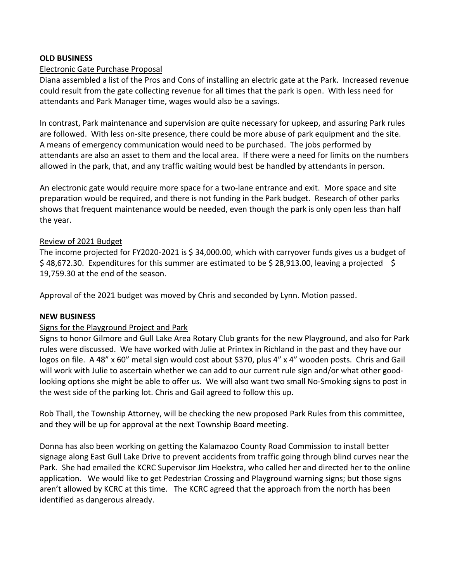## **OLD BUSINESS**

## Electronic Gate Purchase Proposal

Diana assembled a list of the Pros and Cons of installing an electric gate at the Park. Increased revenue could result from the gate collecting revenue for all times that the park is open. With less need for attendants and Park Manager time, wages would also be a savings.

In contrast, Park maintenance and supervision are quite necessary for upkeep, and assuring Park rules are followed. With less on-site presence, there could be more abuse of park equipment and the site. A means of emergency communication would need to be purchased. The jobs performed by attendants are also an asset to them and the local area. If there were a need for limits on the numbers allowed in the park, that, and any traffic waiting would best be handled by attendants in person.

An electronic gate would require more space for a two-lane entrance and exit. More space and site preparation would be required, and there is not funding in the Park budget. Research of other parks shows that frequent maintenance would be needed, even though the park is only open less than half the year.

### Review of 2021 Budget

The income projected for FY2020-2021 is \$ 34,000.00, which with carryover funds gives us a budget of \$48,672.30. Expenditures for this summer are estimated to be \$28,913.00, leaving a projected \$ 19,759.30 at the end of the season.

Approval of the 2021 budget was moved by Chris and seconded by Lynn. Motion passed.

### **NEW BUSINESS**

# Signs for the Playground Project and Park

Signs to honor Gilmore and Gull Lake Area Rotary Club grants for the new Playground, and also for Park rules were discussed. We have worked with Julie at Printex in Richland in the past and they have our logos on file. A 48" x 60" metal sign would cost about \$370, plus 4" x 4" wooden posts. Chris and Gail will work with Julie to ascertain whether we can add to our current rule sign and/or what other goodlooking options she might be able to offer us. We will also want two small No-Smoking signs to post in the west side of the parking lot. Chris and Gail agreed to follow this up.

Rob Thall, the Township Attorney, will be checking the new proposed Park Rules from this committee, and they will be up for approval at the next Township Board meeting.

Donna has also been working on getting the Kalamazoo County Road Commission to install better signage along East Gull Lake Drive to prevent accidents from traffic going through blind curves near the Park. She had emailed the KCRC Supervisor Jim Hoekstra, who called her and directed her to the online application. We would like to get Pedestrian Crossing and Playground warning signs; but those signs aren't allowed by KCRC at this time. The KCRC agreed that the approach from the north has been identified as dangerous already.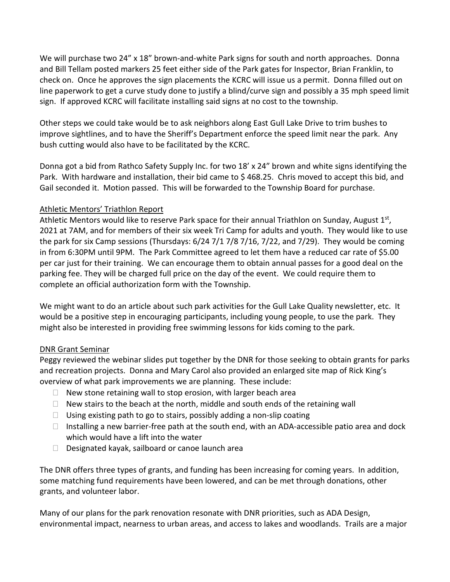We will purchase two 24" x 18" brown-and-white Park signs for south and north approaches. Donna and Bill Tellam posted markers 25 feet either side of the Park gates for Inspector, Brian Franklin, to check on. Once he approves the sign placements the KCRC will issue us a permit. Donna filled out on line paperwork to get a curve study done to justify a blind/curve sign and possibly a 35 mph speed limit sign. If approved KCRC will facilitate installing said signs at no cost to the township.

Other steps we could take would be to ask neighbors along East Gull Lake Drive to trim bushes to improve sightlines, and to have the Sheriff's Department enforce the speed limit near the park. Any bush cutting would also have to be facilitated by the KCRC.

Donna got a bid from Rathco Safety Supply Inc. for two 18' x 24" brown and white signs identifying the Park. With hardware and installation, their bid came to \$ 468.25. Chris moved to accept this bid, and Gail seconded it. Motion passed. This will be forwarded to the Township Board for purchase.

# Athletic Mentors' Triathlon Report

Athletic Mentors would like to reserve Park space for their annual Triathlon on Sunday, August 1<sup>st</sup>, 2021 at 7AM, and for members of their six week Tri Camp for adults and youth. They would like to use the park for six Camp sessions (Thursdays: 6/24 7/1 7/8 7/16, 7/22, and 7/29). They would be coming in from 6:30PM until 9PM. The Park Committee agreed to let them have a reduced car rate of \$5.00 per car just for their training. We can encourage them to obtain annual passes for a good deal on the parking fee. They will be charged full price on the day of the event. We could require them to complete an official authorization form with the Township.

We might want to do an article about such park activities for the Gull Lake Quality newsletter, etc. It would be a positive step in encouraging participants, including young people, to use the park. They might also be interested in providing free swimming lessons for kids coming to the park.

# DNR Grant Seminar

Peggy reviewed the webinar slides put together by the DNR for those seeking to obtain grants for parks and recreation projects. Donna and Mary Carol also provided an enlarged site map of Rick King's overview of what park improvements we are planning. These include:

- $\Box$  New stone retaining wall to stop erosion, with larger beach area
- $\Box$  New stairs to the beach at the north, middle and south ends of the retaining wall
- $\Box$  Using existing path to go to stairs, possibly adding a non-slip coating
- $\Box$  Installing a new barrier-free path at the south end, with an ADA-accessible patio area and dock which would have a lift into the water
- $\Box$  Designated kayak, sailboard or canoe launch area

The DNR offers three types of grants, and funding has been increasing for coming years. In addition, some matching fund requirements have been lowered, and can be met through donations, other grants, and volunteer labor.

Many of our plans for the park renovation resonate with DNR priorities, such as ADA Design, environmental impact, nearness to urban areas, and access to lakes and woodlands. Trails are a major